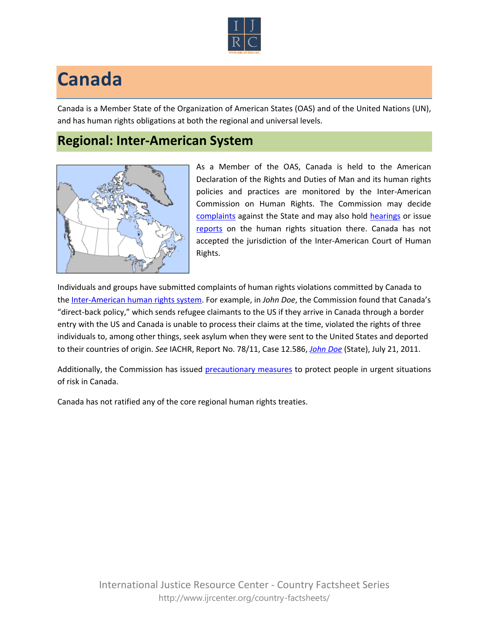

## **Canada**

Canada is a Member State of the Organization of American States (OAS) and of the United Nations (UN), and has human rights obligations at both the regional and universal levels.

## **Regional: Inter-American System**



As a Member of the OAS, Canada is held to the American Declaration of the Rights and Duties of Man and its human rights policies and practices are monitored by the Inter-American Commission on Human Rights. The Commission may decide [complaints](http://www.oas.org/en/iachr/decisions/merits.asp) against the State and may also hold [hearings](http://www.oas.org/es/cidh/audiencias/advanced.aspx?lang=en) or issue [reports](http://www.oas.org/en/iachr/reports/country.asp) on the human rights situation there. Canada has not accepted the jurisdiction of the Inter-American Court of Human Rights.

Individuals and groups have submitted complaints of human rights violations committed by Canada to the [Inter-American human rights system.](http://www.ijrcenter.org/regional/inter-american-system/) For example, in *John Doe*, the Commission found that Canada's "direct-back policy," which sends refugee claimants to the US if they arrive in Canada through a border entry with the US and Canada is unable to process their claims at the time, violated the rights of three individuals to, among other things, seek asylum when they were sent to the United States and deported to their countries of origin. *See* IACHR, Report No. 78/11, Case 12.586, *[John Doe](http://www.oas.org/en/iachr/decisions/2011/CAPU12586EN.doc)* (State), July 21, 2011.

Additionally, the Commission has issued [precautionary measures](http://www.cidh.org/medidas/2002.eng.htm) to protect people in urgent situations of risk in Canada.

Canada has not ratified any of the core regional human rights treaties.